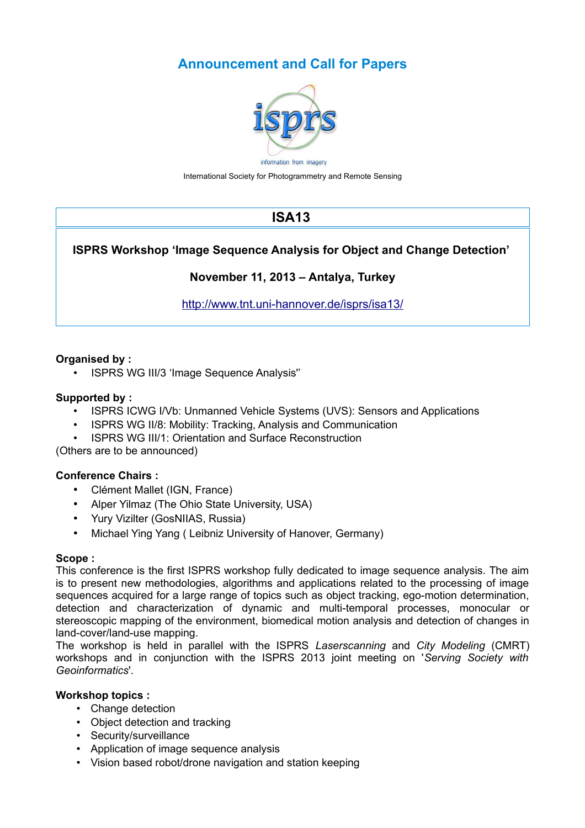# **Announcement and Call for Papers**



International Society for Photogrammetry and Remote Sensing

# **ISA13**

# **ISPRS Workshop 'Image Sequence Analysis for Object and Change Detection'**

## **November 11, 2013 – Antalya, Turkey**

<http://www.tnt.uni-hannover.de/isprs/isa13/>

## **Organised by :**

• ISPRS WG III/3 'Image Sequence Analysis''

### **Supported by :**

- ISPRS ICWG I/Vb: Unmanned Vehicle Systems (UVS): Sensors and Applications
- ISPRS WG II/8: Mobility: Tracking, Analysis and Communication
- ISPRS WG III/1: Orientation and Surface Reconstruction

(Others are to be announced)

## **Conference Chairs :**

- Clément Mallet (IGN, France)
- Alper Yilmaz (The Ohio State University, USA)
- Yury Vizilter (GosNIIAS, Russia)
- Michael Ying Yang ( Leibniz University of Hanover, Germany)

#### **Scope :**

This conference is the first ISPRS workshop fully dedicated to image sequence analysis. The aim is to present new methodologies, algorithms and applications related to the processing of image sequences acquired for a large range of topics such as object tracking, ego-motion determination, detection and characterization of dynamic and multi-temporal processes, monocular or stereoscopic mapping of the environment, biomedical motion analysis and detection of changes in land-cover/land-use mapping.

The workshop is held in parallel with the ISPRS *Laserscanning* and *City Modeling* (CMRT) workshops and in conjunction with the ISPRS 2013 joint meeting on '*Serving Society with Geoinformatics*'.

#### **Workshop topics :**

- Change detection
- Object detection and tracking
- Security/surveillance
- Application of image sequence analysis
- Vision based robot/drone navigation and station keeping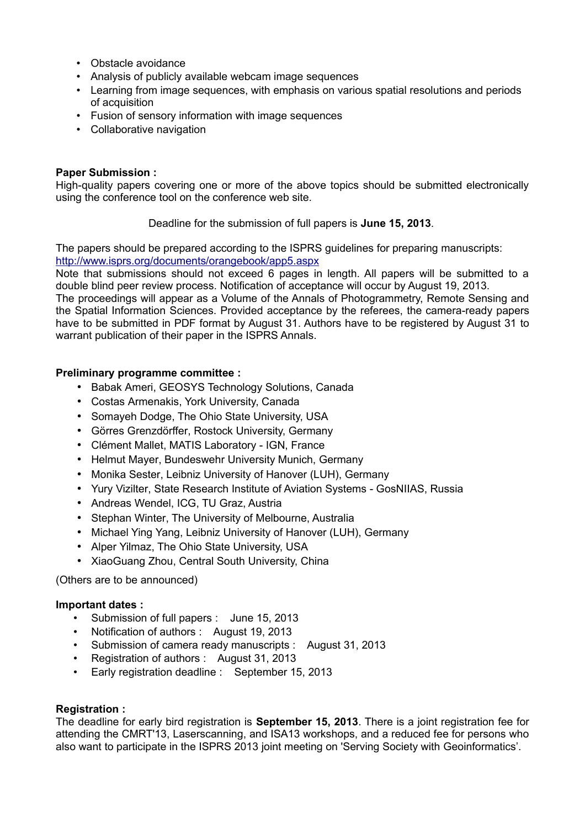- Obstacle avoidance
- Analysis of publicly available webcam image sequences
- Learning from image sequences, with emphasis on various spatial resolutions and periods of acquisition
- Fusion of sensory information with image sequences
- Collaborative navigation

#### **Paper Submission :**

High-quality papers covering one or more of the above topics should be submitted electronically using the conference tool on the conference web site.

Deadline for the submission of full papers is **June 15, 2013**.

The papers should be prepared according to the ISPRS guidelines for preparing manuscripts: <http://www.isprs.org/documents/orangebook/app5.aspx>

Note that submissions should not exceed 6 pages in length. All papers will be submitted to a double blind peer review process. Notification of acceptance will occur by August 19, 2013.

The proceedings will appear as a Volume of the Annals of Photogrammetry, Remote Sensing and the Spatial Information Sciences. Provided acceptance by the referees, the camera-ready papers have to be submitted in PDF format by August 31. Authors have to be registered by August 31 to warrant publication of their paper in the ISPRS Annals.

#### **Preliminary programme committee :**

- Babak Ameri, GEOSYS Technology Solutions, Canada
- Costas Armenakis, York University, Canada
- Somayeh Dodge, The Ohio State University, USA
- Görres Grenzdörffer, Rostock University, Germany
- Clément Mallet, MATIS Laboratory IGN, France
- Helmut Mayer, Bundeswehr University Munich, Germany
- Monika Sester, Leibniz University of Hanover (LUH), Germany
- Yury Vizilter, State Research Institute of Aviation Systems GosNIIAS, Russia
- Andreas Wendel, ICG, TU Graz, Austria
- Stephan Winter, The University of Melbourne, Australia
- Michael Ying Yang, Leibniz University of Hanover (LUH), Germany
- Alper Yilmaz, The Ohio State University, USA
- XiaoGuang Zhou, Central South University, China

(Others are to be announced)

#### **Important dates :**

- Submission of full papers : June 15, 2013
- Notification of authors : August 19, 2013
- Submission of camera ready manuscripts : August 31, 2013
- Registration of authors : August 31, 2013
- Early registration deadline : September 15, 2013

#### **Registration :**

The deadline for early bird registration is **September 15, 2013**. There is a joint registration fee for attending the CMRT'13, Laserscanning, and ISA13 workshops, and a reduced fee for persons who also want to participate in the ISPRS 2013 joint meeting on 'Serving Society with Geoinformatics'.